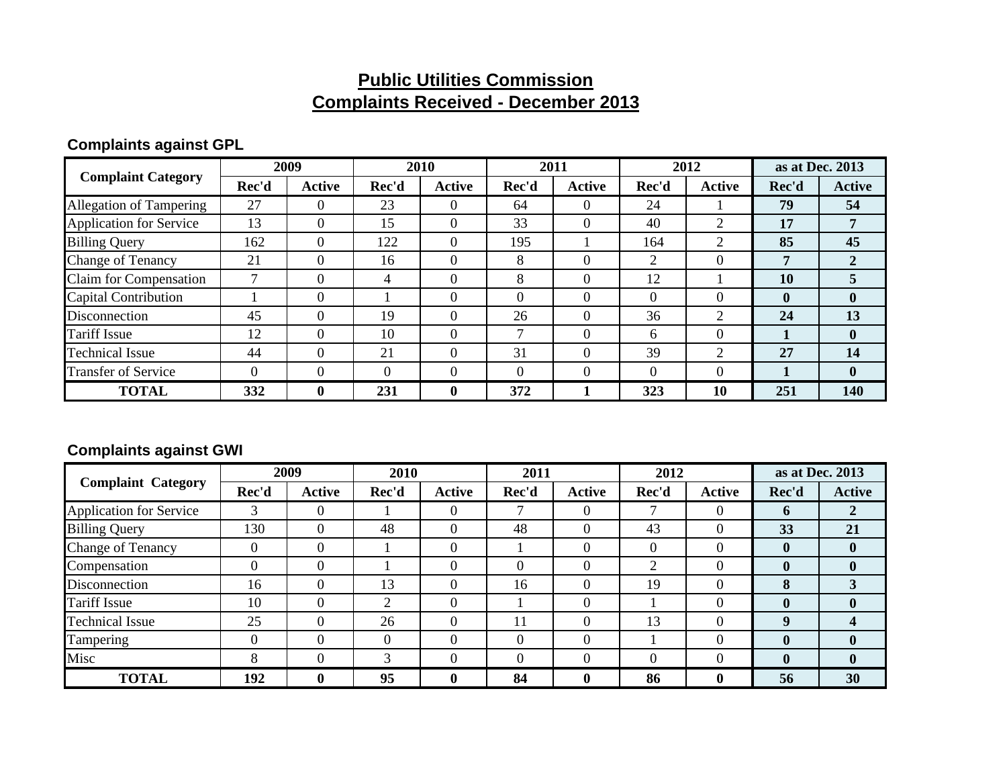### **Public Utilities Commission Complaints Received - December 2013**

### **Complaints against GPL**

| <b>Complaint Category</b>      | 2009     |               | 2010     |               | 2011     |                | 2012           |                | as at Dec. 2013 |               |
|--------------------------------|----------|---------------|----------|---------------|----------|----------------|----------------|----------------|-----------------|---------------|
|                                | Rec'd    | <b>Active</b> | Rec'd    | <b>Active</b> | Rec'd    | Active         | Rec'd          | Active         | Rec'd           | <b>Active</b> |
| <b>Allegation of Tampering</b> | 27       | $\Omega$      | 23       | 0             | 64       | $\Omega$       | 24             |                | 79              | 54            |
| <b>Application for Service</b> | 13       | $\Omega$      | 15       | $\theta$      | 33       | $\Omega$       | 40             | 2              | 17              | 7             |
| <b>Billing Query</b>           | 162      | $\Omega$      | 122      | $\Omega$      | 195      |                | 164            | 2              | 85              | 45            |
| <b>Change of Tenancy</b>       | 21       | $\Omega$      | 16       | $\Omega$      | 8        | $\Omega$       | $\overline{2}$ | $\Omega$       | 7               |               |
| Claim for Compensation         |          | $\theta$      | 4        | $\Omega$      | 8        | $\overline{0}$ | 12             |                | <b>10</b>       |               |
| Capital Contribution           |          | $\Omega$      |          |               | $\Omega$ | $\Omega$       | $\Omega$       | $\theta$       | $\mathbf 0$     | $\mathbf{0}$  |
| Disconnection                  | 45       | $\Omega$      | 19       | $\Omega$      | 26       | $\Omega$       | 36             | $\overline{2}$ | 24              | 13            |
| <b>Tariff Issue</b>            | 12       | $\Omega$      | 10       | $\Omega$      | ⇁        | $\Omega$       | 6              | $\Omega$       |                 | $\mathbf{0}$  |
| <b>Technical Issue</b>         | 44       | $\Omega$      | 21       | $\Omega$      | 31       | $\Omega$       | 39             | 2              | 27              | 14            |
| <b>Transfer of Service</b>     | $\Omega$ | $\Omega$      | $\Omega$ | $\Omega$      | $\Omega$ | $\Omega$       | $\Omega$       | $\Omega$       |                 | $\mathbf{0}$  |
| <b>TOTAL</b>                   | 332      | $\mathbf 0$   | 231      | $\bf{0}$      | 372      |                | 323            | 10             | 251             | <b>140</b>    |

### **Complaints against GWI**

| <b>Complaint Category</b>      | 2009     |               | 2010  |               | 2011     |               | 2012  |              | as at Dec. 2013  |                  |
|--------------------------------|----------|---------------|-------|---------------|----------|---------------|-------|--------------|------------------|------------------|
|                                | Rec'd    | <b>Active</b> | Rec'd | <b>Active</b> | Rec'd    | <b>Active</b> | Rec'd | Active       | Rec'd            | <b>Active</b>    |
| <b>Application for Service</b> | 3        | $\Omega$      |       | 0             |          | $\Omega$      |       | $\Omega$     | $\mathbf b$      | 2                |
| <b>Billing Query</b>           | 130      |               | 48    | 0             | 48       | $\Omega$      | 43    | $\theta$     | 33               | 21               |
| <b>Change of Tenancy</b>       | 0        |               |       |               |          | $\Omega$      | 0     | $\theta$     | $\mathbf{0}$     | $\mathbf{0}$     |
| Compensation                   | $\Omega$ |               |       |               | $\theta$ | $\Omega$      | ◠     | $\theta$     | $\mathbf{0}$     | $\mathbf{0}$     |
| Disconnection                  | 16       | $\Omega$      | 13    | $\Omega$      | 16       | $\Omega$      | 19    | $\theta$     | 8                |                  |
| Tariff Issue                   | 10       |               | 2     | 0             |          | $\Omega$      |       | $\theta$     | $\boldsymbol{0}$ | $\mathbf{0}$     |
| <b>Technical Issue</b>         | 25       |               | 26    | $\Omega$      | 11       | $\Omega$      | 13    | $\theta$     | 9                | $\boldsymbol{4}$ |
| Tampering                      | $\Omega$ |               | 0     | 0             | $\Omega$ | $\Omega$      |       | $\theta$     | $\mathbf 0$      | $\mathbf{0}$     |
| Misc                           | 8        |               | 3     |               | $\Omega$ | $\Omega$      | 0     | $\theta$     | $\bf{0}$         | $\mathbf{0}$     |
| <b>TOTAL</b>                   | 192      | $\mathbf{0}$  | 95    | $\bf{0}$      | 84       | $\mathbf 0$   | 86    | $\mathbf{0}$ | 56               | 30               |